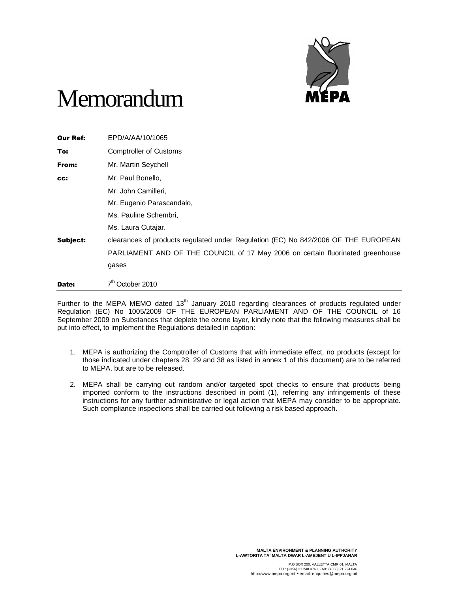

## Memorandum

| <b>Our Ref:</b> | EPD/A/AA/10/1065                                                                   |
|-----------------|------------------------------------------------------------------------------------|
| To:             | <b>Comptroller of Customs</b>                                                      |
| From:           | Mr. Martin Seychell                                                                |
| CC:             | Mr. Paul Bonello,                                                                  |
|                 | Mr. John Camilleri,                                                                |
|                 | Mr. Eugenio Parascandalo,                                                          |
|                 | Ms. Pauline Schembri,                                                              |
|                 | Ms. Laura Cutajar.                                                                 |
| Subject:        | clearances of products regulated under Regulation (EC) No 842/2006 OF THE EUROPEAN |
|                 | PARLIAMENT AND OF THE COUNCIL of 17 May 2006 on certain fluorinated greenhouse     |
|                 | gases                                                                              |
| Date:           | October 2010                                                                       |

Further to the MEPA MEMO dated 13<sup>th</sup> January 2010 regarding clearances of products regulated under Regulation (EC) No 1005/2009 OF THE EUROPEAN PARLIAMENT AND OF THE COUNCIL of 16 September 2009 on Substances that deplete the ozone layer, kindly note that the following measures shall be put into effect, to implement the Regulations detailed in caption:

- 1. MEPA is authorizing the Comptroller of Customs that with immediate effect, no products (except for those indicated under chapters 28, 29 and 38 as listed in annex 1 of this document) are to be referred to MEPA, but are to be released.
- 2. MEPA shall be carrying out random and/or targeted spot checks to ensure that products being imported conform to the instructions described in point (1), referring any infringements of these instructions for any further administrative or legal action that MEPA may consider to be appropriate. Such compliance inspections shall be carried out following a risk based approach.